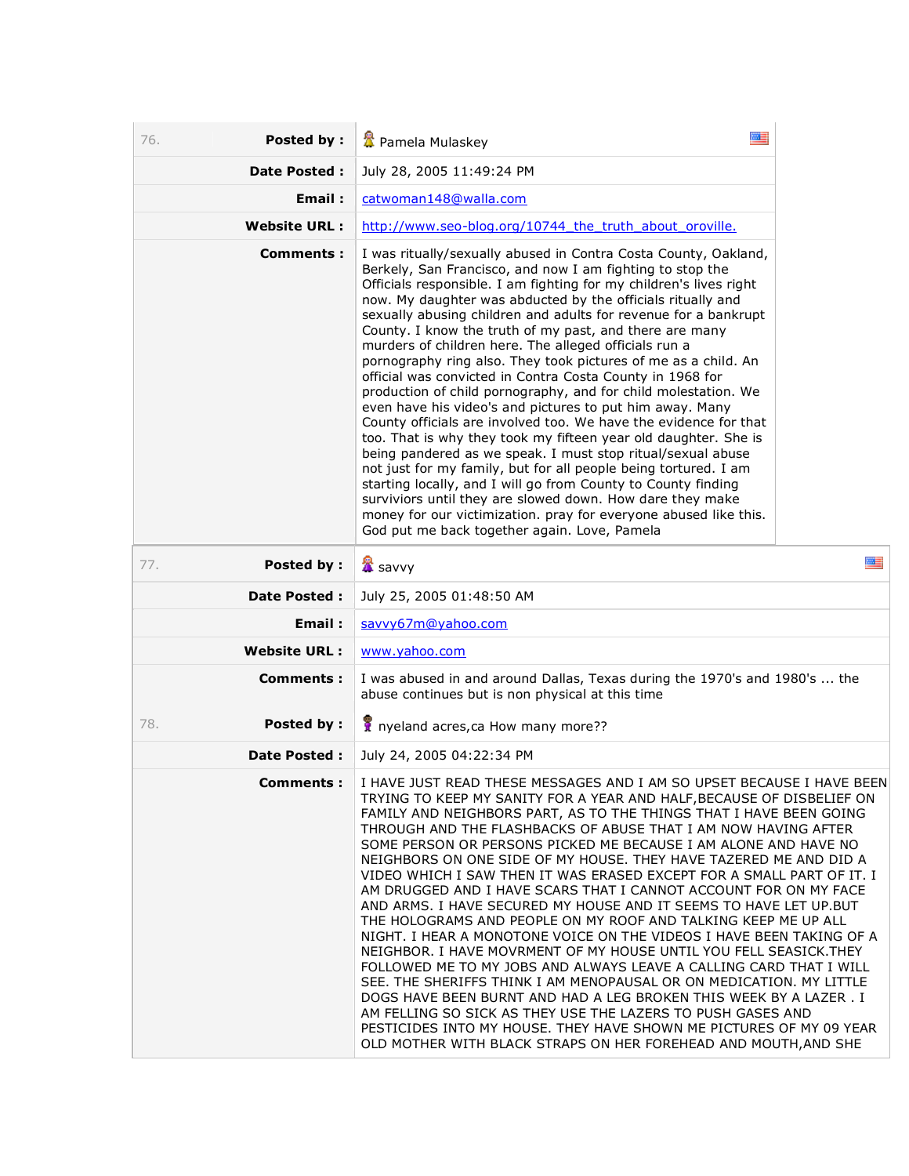| Posted by:<br>76.   | 黒星                                                                                                                                                                                                                                                                                                                                                                                                                                                                                                                                                                                                                                                                                                                                                                                                                                                                                                                                                                                                                                                                                                                                                                                                                                                                                            |   |
|---------------------|-----------------------------------------------------------------------------------------------------------------------------------------------------------------------------------------------------------------------------------------------------------------------------------------------------------------------------------------------------------------------------------------------------------------------------------------------------------------------------------------------------------------------------------------------------------------------------------------------------------------------------------------------------------------------------------------------------------------------------------------------------------------------------------------------------------------------------------------------------------------------------------------------------------------------------------------------------------------------------------------------------------------------------------------------------------------------------------------------------------------------------------------------------------------------------------------------------------------------------------------------------------------------------------------------|---|
|                     | Pamela Mulaskey                                                                                                                                                                                                                                                                                                                                                                                                                                                                                                                                                                                                                                                                                                                                                                                                                                                                                                                                                                                                                                                                                                                                                                                                                                                                               |   |
| <b>Date Posted:</b> | July 28, 2005 11:49:24 PM                                                                                                                                                                                                                                                                                                                                                                                                                                                                                                                                                                                                                                                                                                                                                                                                                                                                                                                                                                                                                                                                                                                                                                                                                                                                     |   |
| Email:              | catwoman148@walla.com                                                                                                                                                                                                                                                                                                                                                                                                                                                                                                                                                                                                                                                                                                                                                                                                                                                                                                                                                                                                                                                                                                                                                                                                                                                                         |   |
| <b>Website URL:</b> | http://www.seo-blog.org/10744 the truth about oroville.                                                                                                                                                                                                                                                                                                                                                                                                                                                                                                                                                                                                                                                                                                                                                                                                                                                                                                                                                                                                                                                                                                                                                                                                                                       |   |
| Comments :          | I was ritually/sexually abused in Contra Costa County, Oakland,<br>Berkely, San Francisco, and now I am fighting to stop the<br>Officials responsible. I am fighting for my children's lives right<br>now. My daughter was abducted by the officials ritually and<br>sexually abusing children and adults for revenue for a bankrupt<br>County. I know the truth of my past, and there are many<br>murders of children here. The alleged officials run a<br>pornography ring also. They took pictures of me as a child. An<br>official was convicted in Contra Costa County in 1968 for<br>production of child pornography, and for child molestation. We<br>even have his video's and pictures to put him away. Many<br>County officials are involved too. We have the evidence for that<br>too. That is why they took my fifteen year old daughter. She is<br>being pandered as we speak. I must stop ritual/sexual abuse<br>not just for my family, but for all people being tortured. I am<br>starting locally, and I will go from County to County finding<br>surviviors until they are slowed down. How dare they make<br>money for our victimization. pray for everyone abused like this.<br>God put me back together again. Love, Pamela                                              |   |
| Posted by:<br>77.   | <b>■</b> savvy                                                                                                                                                                                                                                                                                                                                                                                                                                                                                                                                                                                                                                                                                                                                                                                                                                                                                                                                                                                                                                                                                                                                                                                                                                                                                | 四 |
| <b>Date Posted:</b> | July 25, 2005 01:48:50 AM                                                                                                                                                                                                                                                                                                                                                                                                                                                                                                                                                                                                                                                                                                                                                                                                                                                                                                                                                                                                                                                                                                                                                                                                                                                                     |   |
| Email:              | savvy67m@yahoo.com                                                                                                                                                                                                                                                                                                                                                                                                                                                                                                                                                                                                                                                                                                                                                                                                                                                                                                                                                                                                                                                                                                                                                                                                                                                                            |   |
| <b>Website URL:</b> | www.yahoo.com                                                                                                                                                                                                                                                                                                                                                                                                                                                                                                                                                                                                                                                                                                                                                                                                                                                                                                                                                                                                                                                                                                                                                                                                                                                                                 |   |
| Comments:           | I was abused in and around Dallas, Texas during the 1970's and 1980's  the<br>abuse continues but is non physical at this time                                                                                                                                                                                                                                                                                                                                                                                                                                                                                                                                                                                                                                                                                                                                                                                                                                                                                                                                                                                                                                                                                                                                                                |   |
| Posted by:<br>78.   | if nyeland acres, ca How many more??                                                                                                                                                                                                                                                                                                                                                                                                                                                                                                                                                                                                                                                                                                                                                                                                                                                                                                                                                                                                                                                                                                                                                                                                                                                          |   |
| <b>Date Posted:</b> | July 24, 2005 04:22:34 PM                                                                                                                                                                                                                                                                                                                                                                                                                                                                                                                                                                                                                                                                                                                                                                                                                                                                                                                                                                                                                                                                                                                                                                                                                                                                     |   |
| Comments :          | I HAVE JUST READ THESE MESSAGES AND I AM SO UPSET BECAUSE I HAVE BEEN<br>TRYING TO KEEP MY SANITY FOR A YEAR AND HALF, BECAUSE OF DISBELIEF ON<br>FAMILY AND NEIGHBORS PART, AS TO THE THINGS THAT I HAVE BEEN GOING<br>THROUGH AND THE FLASHBACKS OF ABUSE THAT I AM NOW HAVING AFTER<br>SOME PERSON OR PERSONS PICKED ME BECAUSE I AM ALONE AND HAVE NO<br>NEIGHBORS ON ONE SIDE OF MY HOUSE. THEY HAVE TAZERED ME AND DID A<br>VIDEO WHICH I SAW THEN IT WAS ERASED EXCEPT FOR A SMALL PART OF IT. I<br>AM DRUGGED AND I HAVE SCARS THAT I CANNOT ACCOUNT FOR ON MY FACE<br>AND ARMS. I HAVE SECURED MY HOUSE AND IT SEEMS TO HAVE LET UP. BUT<br>THE HOLOGRAMS AND PEOPLE ON MY ROOF AND TALKING KEEP ME UP ALL<br>NIGHT. I HEAR A MONOTONE VOICE ON THE VIDEOS I HAVE BEEN TAKING OF A<br>NEIGHBOR. I HAVE MOVRMENT OF MY HOUSE UNTIL YOU FELL SEASICK. THEY<br>FOLLOWED ME TO MY JOBS AND ALWAYS LEAVE A CALLING CARD THAT I WILL<br>SEE. THE SHERIFFS THINK I AM MENOPAUSAL OR ON MEDICATION. MY LITTLE<br>DOGS HAVE BEEN BURNT AND HAD A LEG BROKEN THIS WEEK BY A LAZER . I<br>AM FELLING SO SICK AS THEY USE THE LAZERS TO PUSH GASES AND<br>PESTICIDES INTO MY HOUSE. THEY HAVE SHOWN ME PICTURES OF MY 09 YEAR<br>OLD MOTHER WITH BLACK STRAPS ON HER FOREHEAD AND MOUTH, AND SHE |   |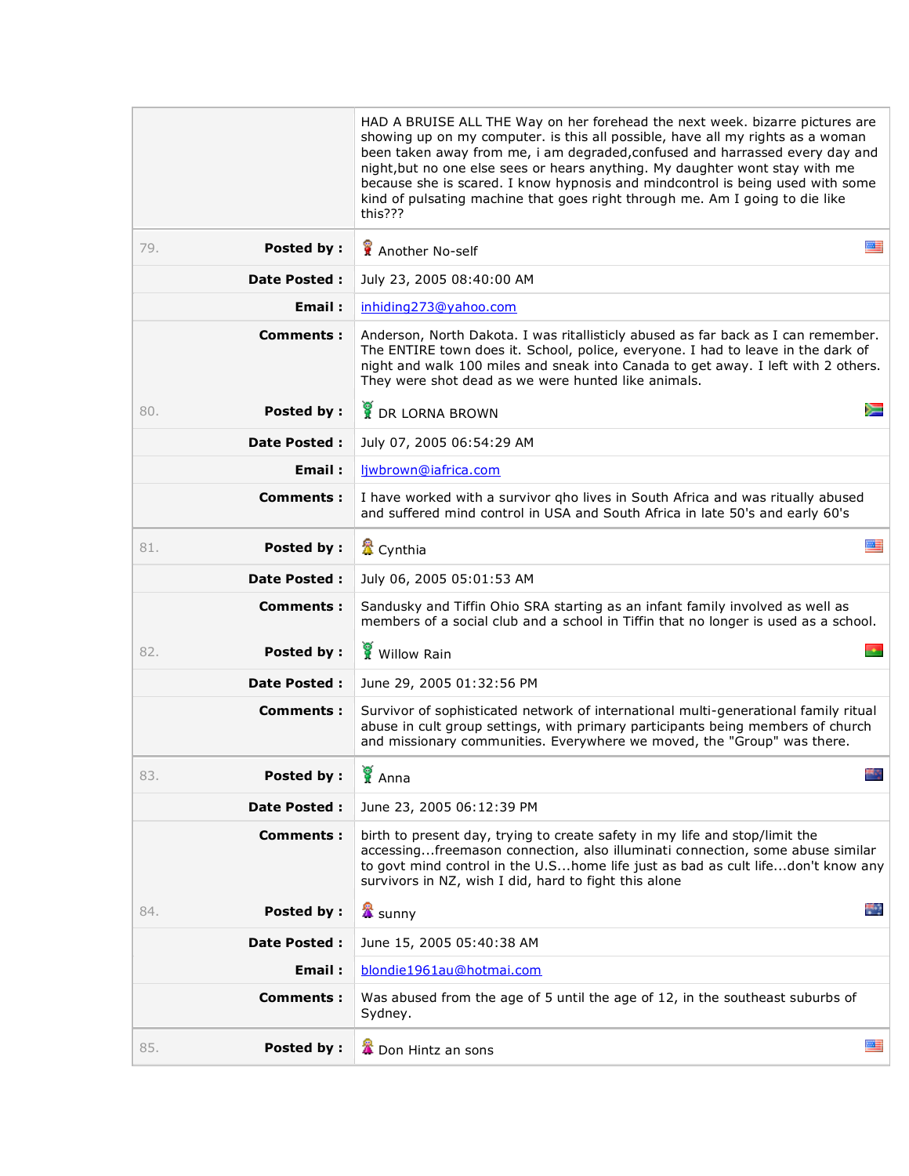|                          | HAD A BRUISE ALL THE Way on her forehead the next week. bizarre pictures are<br>showing up on my computer. is this all possible, have all my rights as a woman<br>been taken away from me, i am degraded, confused and harrassed every day and<br>night, but no one else sees or hears anything. My daughter wont stay with me<br>because she is scared. I know hypnosis and mindcontrol is being used with some<br>kind of pulsating machine that goes right through me. Am I going to die like<br>this??? |  |
|--------------------------|-------------------------------------------------------------------------------------------------------------------------------------------------------------------------------------------------------------------------------------------------------------------------------------------------------------------------------------------------------------------------------------------------------------------------------------------------------------------------------------------------------------|--|
| <b>Posted by:</b><br>79. | 麗<br>Another No-self                                                                                                                                                                                                                                                                                                                                                                                                                                                                                        |  |
| <b>Date Posted:</b>      | July 23, 2005 08:40:00 AM                                                                                                                                                                                                                                                                                                                                                                                                                                                                                   |  |
| Email:                   | inhiding273@yahoo.com                                                                                                                                                                                                                                                                                                                                                                                                                                                                                       |  |
| Comments:                | Anderson, North Dakota. I was ritallisticly abused as far back as I can remember.<br>The ENTIRE town does it. School, police, everyone. I had to leave in the dark of<br>night and walk 100 miles and sneak into Canada to get away. I left with 2 others.<br>They were shot dead as we were hunted like animals.                                                                                                                                                                                           |  |
| Posted by:<br>80.        | <b>DR LORNA BROWN</b>                                                                                                                                                                                                                                                                                                                                                                                                                                                                                       |  |
| <b>Date Posted:</b>      | July 07, 2005 06:54:29 AM                                                                                                                                                                                                                                                                                                                                                                                                                                                                                   |  |
| Email:                   | liwbrown@iafrica.com                                                                                                                                                                                                                                                                                                                                                                                                                                                                                        |  |
| Comments:                | I have worked with a survivor gho lives in South Africa and was ritually abused<br>and suffered mind control in USA and South Africa in late 50's and early 60's                                                                                                                                                                                                                                                                                                                                            |  |
| <b>Posted by:</b><br>81. | 圖書<br>置 Cynthia                                                                                                                                                                                                                                                                                                                                                                                                                                                                                             |  |
| <b>Date Posted:</b>      | July 06, 2005 05:01:53 AM                                                                                                                                                                                                                                                                                                                                                                                                                                                                                   |  |
| <b>Comments:</b>         | Sandusky and Tiffin Ohio SRA starting as an infant family involved as well as<br>members of a social club and a school in Tiffin that no longer is used as a school.                                                                                                                                                                                                                                                                                                                                        |  |
| <b>Posted by:</b><br>82. | Willow Rain                                                                                                                                                                                                                                                                                                                                                                                                                                                                                                 |  |
| Date Posted :            | June 29, 2005 01:32:56 PM                                                                                                                                                                                                                                                                                                                                                                                                                                                                                   |  |
| Comments :               | Survivor of sophisticated network of international multi-generational family ritual<br>abuse in cult group settings, with primary participants being members of church<br>and missionary communities. Everywhere we moved, the "Group" was there.                                                                                                                                                                                                                                                           |  |
| <b>Posted by:</b><br>83. | <b>Sec.</b><br>K Anna                                                                                                                                                                                                                                                                                                                                                                                                                                                                                       |  |
| <b>Date Posted:</b>      | June 23, 2005 06:12:39 PM                                                                                                                                                                                                                                                                                                                                                                                                                                                                                   |  |
| <b>Comments:</b>         | birth to present day, trying to create safety in my life and stop/limit the<br>accessingfreemason connection, also illuminati connection, some abuse similar<br>to govt mind control in the U.Shome life just as bad as cult lifedon't know any<br>survivors in NZ, wish I did, hard to fight this alone                                                                                                                                                                                                    |  |
| <b>Posted by:</b><br>84. | ÷.<br><b>X</b> sunny                                                                                                                                                                                                                                                                                                                                                                                                                                                                                        |  |
| Date Posted :            | June 15, 2005 05:40:38 AM                                                                                                                                                                                                                                                                                                                                                                                                                                                                                   |  |
| Email:                   | blondie1961au@hotmai.com                                                                                                                                                                                                                                                                                                                                                                                                                                                                                    |  |
| Comments :               | Was abused from the age of 5 until the age of 12, in the southeast suburbs of<br>Sydney.                                                                                                                                                                                                                                                                                                                                                                                                                    |  |
| <b>Posted by:</b><br>85. | 墨<br>Don Hintz an sons                                                                                                                                                                                                                                                                                                                                                                                                                                                                                      |  |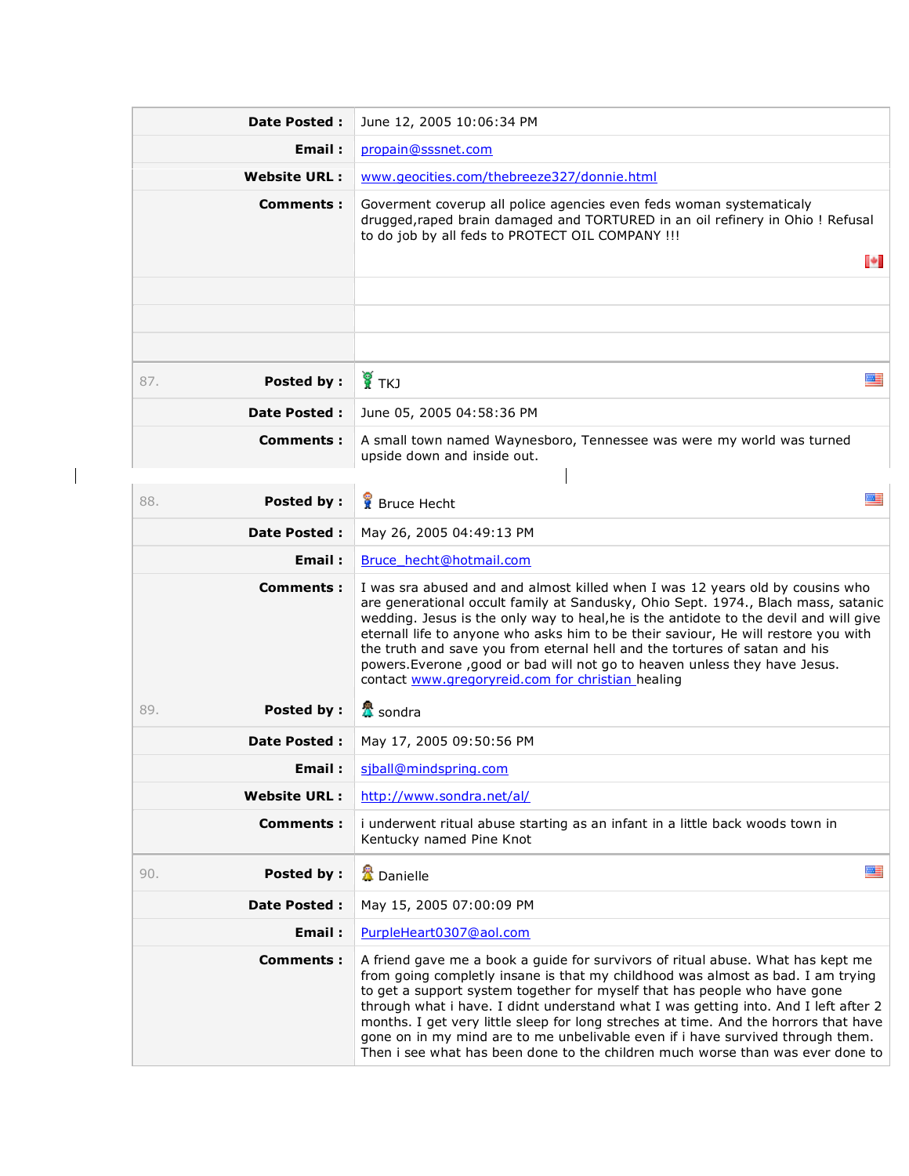| <b>Date Posted:</b>      | June 12, 2005 10:06:34 PM                                                                                                                                                                                                                                                                                                                                                                                                                                                                                                                                                                          |  |
|--------------------------|----------------------------------------------------------------------------------------------------------------------------------------------------------------------------------------------------------------------------------------------------------------------------------------------------------------------------------------------------------------------------------------------------------------------------------------------------------------------------------------------------------------------------------------------------------------------------------------------------|--|
| Email:                   | propain@sssnet.com                                                                                                                                                                                                                                                                                                                                                                                                                                                                                                                                                                                 |  |
| <b>Website URL:</b>      | www.geocities.com/thebreeze327/donnie.html                                                                                                                                                                                                                                                                                                                                                                                                                                                                                                                                                         |  |
| Comments :               | Goverment coverup all police agencies even feds woman systematicaly<br>drugged, raped brain damaged and TORTURED in an oil refinery in Ohio ! Refusal<br>to do job by all feds to PROTECT OIL COMPANY !!!<br>ы                                                                                                                                                                                                                                                                                                                                                                                     |  |
|                          |                                                                                                                                                                                                                                                                                                                                                                                                                                                                                                                                                                                                    |  |
|                          |                                                                                                                                                                                                                                                                                                                                                                                                                                                                                                                                                                                                    |  |
|                          |                                                                                                                                                                                                                                                                                                                                                                                                                                                                                                                                                                                                    |  |
|                          |                                                                                                                                                                                                                                                                                                                                                                                                                                                                                                                                                                                                    |  |
| Posted by:<br>87.        | $\frac{1}{2}$ TKJ<br>墨                                                                                                                                                                                                                                                                                                                                                                                                                                                                                                                                                                             |  |
| <b>Date Posted:</b>      | June 05, 2005 04:58:36 PM                                                                                                                                                                                                                                                                                                                                                                                                                                                                                                                                                                          |  |
| Comments :               | A small town named Waynesboro, Tennessee was were my world was turned<br>upside down and inside out.                                                                                                                                                                                                                                                                                                                                                                                                                                                                                               |  |
| Posted by:<br>88.        | 四三<br><b>R</b> Bruce Hecht                                                                                                                                                                                                                                                                                                                                                                                                                                                                                                                                                                         |  |
| <b>Date Posted:</b>      | May 26, 2005 04:49:13 PM                                                                                                                                                                                                                                                                                                                                                                                                                                                                                                                                                                           |  |
| Email:                   | Bruce hecht@hotmail.com                                                                                                                                                                                                                                                                                                                                                                                                                                                                                                                                                                            |  |
| Comments:                | I was sra abused and and almost killed when I was 12 years old by cousins who<br>are generational occult family at Sandusky, Ohio Sept. 1974., Blach mass, satanic<br>wedding. Jesus is the only way to heal, he is the antidote to the devil and will give<br>eternall life to anyone who asks him to be their saviour, He will restore you with<br>the truth and save you from eternal hell and the tortures of satan and his<br>powers. Everone , good or bad will not go to heaven unless they have Jesus.<br>contact www.gregoryreid.com for christian healing                                |  |
| <b>Posted by:</b><br>89. | <mark>公</mark> sondra                                                                                                                                                                                                                                                                                                                                                                                                                                                                                                                                                                              |  |
| <b>Date Posted:</b>      | May 17, 2005 09:50:56 PM                                                                                                                                                                                                                                                                                                                                                                                                                                                                                                                                                                           |  |
| Email :                  | sjball@mindspring.com                                                                                                                                                                                                                                                                                                                                                                                                                                                                                                                                                                              |  |
| <b>Website URL:</b>      | http://www.sondra.net/al/                                                                                                                                                                                                                                                                                                                                                                                                                                                                                                                                                                          |  |
| <b>Comments:</b>         | i underwent ritual abuse starting as an infant in a little back woods town in<br>Kentucky named Pine Knot                                                                                                                                                                                                                                                                                                                                                                                                                                                                                          |  |
| Posted by:<br>90.        | 四目<br><b>魯</b> Danielle                                                                                                                                                                                                                                                                                                                                                                                                                                                                                                                                                                            |  |
| Date Posted :            | May 15, 2005 07:00:09 PM                                                                                                                                                                                                                                                                                                                                                                                                                                                                                                                                                                           |  |
| <b>Email:</b>            | PurpleHeart0307@aol.com                                                                                                                                                                                                                                                                                                                                                                                                                                                                                                                                                                            |  |
| Comments:                | A friend gave me a book a guide for survivors of ritual abuse. What has kept me<br>from going completly insane is that my childhood was almost as bad. I am trying<br>to get a support system together for myself that has people who have gone<br>through what i have. I didnt understand what I was getting into. And I left after 2<br>months. I get very little sleep for long streches at time. And the horrors that have<br>gone on in my mind are to me unbelivable even if i have survived through them.<br>Then i see what has been done to the children much worse than was ever done to |  |

 $\begin{array}{c} \begin{array}{c} \begin{array}{c} \begin{array}{c} \end{array} \end{array} \end{array} \end{array}$